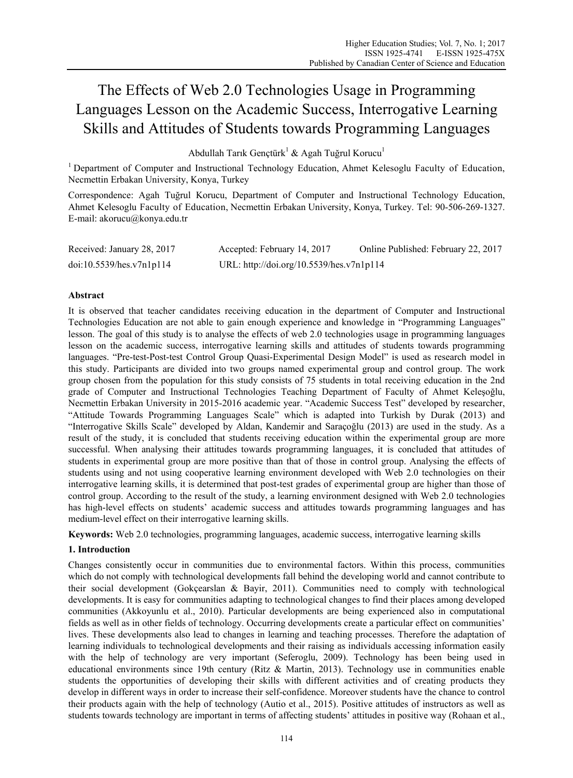# The Effects of Web 2.0 Technologies Usage in Programming Languages Lesson on the Academic Success, Interrogative Learning Skills and Attitudes of Students towards Programming Languages

Abdullah Tarık Gençtürk<sup>1</sup> & Agah Tuğrul Korucu<sup>1</sup>

<sup>1</sup> Department of Computer and Instructional Technology Education, Ahmet Kelesoglu Faculty of Education, Necmettin Erbakan University, Konya, Turkey

Correspondence: Agah Tuğrul Korucu, Department of Computer and Instructional Technology Education, Ahmet Kelesoglu Faculty of Education, Necmettin Erbakan University, Konya, Turkey. Tel: 90-506-269-1327. E-mail: akorucu@konya.edu.tr

| Received: January 28, 2017 | Accepted: February 14, 2017              | Online Published: February 22, 2017 |
|----------------------------|------------------------------------------|-------------------------------------|
| doi:10.5539/hes.v7n1p114   | URL: http://doi.org/10.5539/hes.v7n1p114 |                                     |

# **Abstract**

It is observed that teacher candidates receiving education in the department of Computer and Instructional Technologies Education are not able to gain enough experience and knowledge in "Programming Languages" lesson. The goal of this study is to analyse the effects of web 2.0 technologies usage in programming languages lesson on the academic success, interrogative learning skills and attitudes of students towards programming languages. "Pre-test-Post-test Control Group Quasi-Experimental Design Model" is used as research model in this study. Participants are divided into two groups named experimental group and control group. The work group chosen from the population for this study consists of 75 students in total receiving education in the 2nd grade of Computer and Instructional Technologies Teaching Department of Faculty of Ahmet Keleşoğlu, Necmettin Erbakan University in 2015-2016 academic year. "Academic Success Test" developed by researcher, "Attitude Towards Programming Languages Scale" which is adapted into Turkish by Durak (2013) and "Interrogative Skills Scale" developed by Aldan, Kandemir and Saraçoğlu (2013) are used in the study. As a result of the study, it is concluded that students receiving education within the experimental group are more successful. When analysing their attitudes towards programming languages, it is concluded that attitudes of students in experimental group are more positive than that of those in control group. Analysing the effects of students using and not using cooperative learning environment developed with Web 2.0 technologies on their interrogative learning skills, it is determined that post-test grades of experimental group are higher than those of control group. According to the result of the study, a learning environment designed with Web 2.0 technologies has high-level effects on students' academic success and attitudes towards programming languages and has medium-level effect on their interrogative learning skills.

**Keywords:** Web 2.0 technologies, programming languages, academic success, interrogative learning skills

## **1. Introduction**

Changes consistently occur in communities due to environmental factors. Within this process, communities which do not comply with technological developments fall behind the developing world and cannot contribute to their social development (Gokçearslan & Bayir, 2011). Communities need to comply with technological developments. It is easy for communities adapting to technological changes to find their places among developed communities (Akkoyunlu et al., 2010). Particular developments are being experienced also in computational fields as well as in other fields of technology. Occurring developments create a particular effect on communities' lives. These developments also lead to changes in learning and teaching processes. Therefore the adaptation of learning individuals to technological developments and their raising as individuals accessing information easily with the help of technology are very important (Seferoglu, 2009). Technology has been being used in educational environments since 19th century (Ritz & Martin, 2013). Technology use in communities enable students the opportunities of developing their skills with different activities and of creating products they develop in different ways in order to increase their self-confidence. Moreover students have the chance to control their products again with the help of technology (Autio et al., 2015). Positive attitudes of instructors as well as students towards technology are important in terms of affecting students' attitudes in positive way (Rohaan et al.,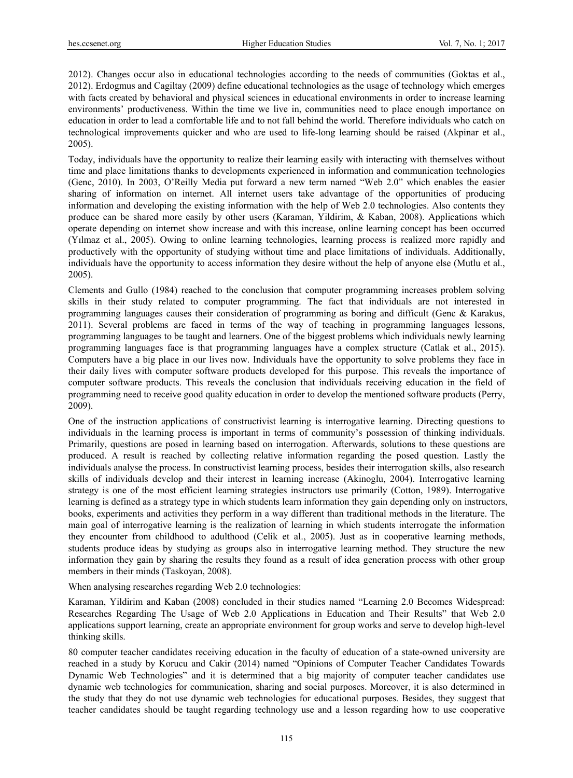2012). Changes occur also in educational technologies according to the needs of communities (Goktas et al., 2012). Erdogmus and Cagiltay (2009) define educational technologies as the usage of technology which emerges with facts created by behavioral and physical sciences in educational environments in order to increase learning environments' productiveness. Within the time we live in, communities need to place enough importance on education in order to lead a comfortable life and to not fall behind the world. Therefore individuals who catch on technological improvements quicker and who are used to life-long learning should be raised (Akpinar et al., 2005).

Today, individuals have the opportunity to realize their learning easily with interacting with themselves without time and place limitations thanks to developments experienced in information and communication technologies (Genc, 2010). In 2003, O'Reilly Media put forward a new term named "Web 2.0" which enables the easier sharing of information on internet. All internet users take advantage of the opportunities of producing information and developing the existing information with the help of Web 2.0 technologies. Also contents they produce can be shared more easily by other users (Karaman, Yildirim, & Kaban, 2008). Applications which operate depending on internet show increase and with this increase, online learning concept has been occurred (Yılmaz et al., 2005). Owing to online learning technologies, learning process is realized more rapidly and productively with the opportunity of studying without time and place limitations of individuals. Additionally, individuals have the opportunity to access information they desire without the help of anyone else (Mutlu et al., 2005).

Clements and Gullo (1984) reached to the conclusion that computer programming increases problem solving skills in their study related to computer programming. The fact that individuals are not interested in programming languages causes their consideration of programming as boring and difficult (Genc & Karakus, 2011). Several problems are faced in terms of the way of teaching in programming languages lessons, programming languages to be taught and learners. One of the biggest problems which individuals newly learning programming languages face is that programming languages have a complex structure (Catlak et al., 2015). Computers have a big place in our lives now. Individuals have the opportunity to solve problems they face in their daily lives with computer software products developed for this purpose. This reveals the importance of computer software products. This reveals the conclusion that individuals receiving education in the field of programming need to receive good quality education in order to develop the mentioned software products (Perry, 2009).

One of the instruction applications of constructivist learning is interrogative learning. Directing questions to individuals in the learning process is important in terms of community's possession of thinking individuals. Primarily, questions are posed in learning based on interrogation. Afterwards, solutions to these questions are produced. A result is reached by collecting relative information regarding the posed question. Lastly the individuals analyse the process. In constructivist learning process, besides their interrogation skills, also research skills of individuals develop and their interest in learning increase (Akinoglu, 2004). Interrogative learning strategy is one of the most efficient learning strategies instructors use primarily (Cotton, 1989). Interrogative learning is defined as a strategy type in which students learn information they gain depending only on instructors, books, experiments and activities they perform in a way different than traditional methods in the literature. The main goal of interrogative learning is the realization of learning in which students interrogate the information they encounter from childhood to adulthood (Celik et al., 2005). Just as in cooperative learning methods, students produce ideas by studying as groups also in interrogative learning method. They structure the new information they gain by sharing the results they found as a result of idea generation process with other group members in their minds (Taskoyan, 2008).

When analysing researches regarding Web 2.0 technologies:

Karaman, Yildirim and Kaban (2008) concluded in their studies named "Learning 2.0 Becomes Widespread: Researches Regarding The Usage of Web 2.0 Applications in Education and Their Results" that Web 2.0 applications support learning, create an appropriate environment for group works and serve to develop high-level thinking skills.

80 computer teacher candidates receiving education in the faculty of education of a state-owned university are reached in a study by Korucu and Cakir (2014) named "Opinions of Computer Teacher Candidates Towards Dynamic Web Technologies" and it is determined that a big majority of computer teacher candidates use dynamic web technologies for communication, sharing and social purposes. Moreover, it is also determined in the study that they do not use dynamic web technologies for educational purposes. Besides, they suggest that teacher candidates should be taught regarding technology use and a lesson regarding how to use cooperative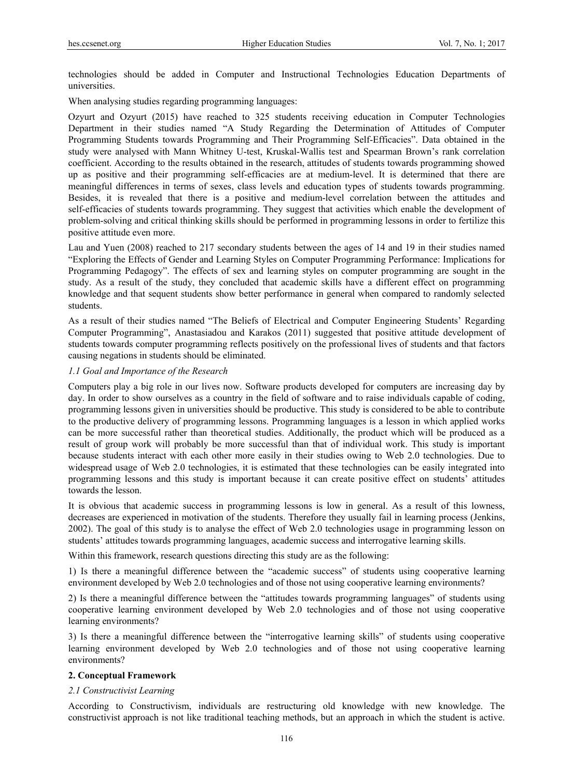technologies should be added in Computer and Instructional Technologies Education Departments of universities.

When analysing studies regarding programming languages:

Ozyurt and Ozyurt (2015) have reached to 325 students receiving education in Computer Technologies Department in their studies named "A Study Regarding the Determination of Attitudes of Computer Programming Students towards Programming and Their Programming Self-Efficacies". Data obtained in the study were analysed with Mann Whitney U-test, Kruskal-Wallis test and Spearman Brown's rank correlation coefficient. According to the results obtained in the research, attitudes of students towards programming showed up as positive and their programming self-efficacies are at medium-level. It is determined that there are meaningful differences in terms of sexes, class levels and education types of students towards programming. Besides, it is revealed that there is a positive and medium-level correlation between the attitudes and self-efficacies of students towards programming. They suggest that activities which enable the development of problem-solving and critical thinking skills should be performed in programming lessons in order to fertilize this positive attitude even more.

Lau and Yuen (2008) reached to 217 secondary students between the ages of 14 and 19 in their studies named "Exploring the Effects of Gender and Learning Styles on Computer Programming Performance: Implications for Programming Pedagogy". The effects of sex and learning styles on computer programming are sought in the study. As a result of the study, they concluded that academic skills have a different effect on programming knowledge and that sequent students show better performance in general when compared to randomly selected students.

As a result of their studies named "The Beliefs of Electrical and Computer Engineering Students' Regarding Computer Programming", Anastasiadou and Karakos (2011) suggested that positive attitude development of students towards computer programming reflects positively on the professional lives of students and that factors causing negations in students should be eliminated.

#### *1.1 Goal and Importance of the Research*

Computers play a big role in our lives now. Software products developed for computers are increasing day by day. In order to show ourselves as a country in the field of software and to raise individuals capable of coding, programming lessons given in universities should be productive. This study is considered to be able to contribute to the productive delivery of programming lessons. Programming languages is a lesson in which applied works can be more successful rather than theoretical studies. Additionally, the product which will be produced as a result of group work will probably be more successful than that of individual work. This study is important because students interact with each other more easily in their studies owing to Web 2.0 technologies. Due to widespread usage of Web 2.0 technologies, it is estimated that these technologies can be easily integrated into programming lessons and this study is important because it can create positive effect on students' attitudes towards the lesson.

It is obvious that academic success in programming lessons is low in general. As a result of this lowness, decreases are experienced in motivation of the students. Therefore they usually fail in learning process (Jenkins, 2002). The goal of this study is to analyse the effect of Web 2.0 technologies usage in programming lesson on students' attitudes towards programming languages, academic success and interrogative learning skills.

Within this framework, research questions directing this study are as the following:

1) Is there a meaningful difference between the "academic success" of students using cooperative learning environment developed by Web 2.0 technologies and of those not using cooperative learning environments?

2) Is there a meaningful difference between the "attitudes towards programming languages" of students using cooperative learning environment developed by Web 2.0 technologies and of those not using cooperative learning environments?

3) Is there a meaningful difference between the "interrogative learning skills" of students using cooperative learning environment developed by Web 2.0 technologies and of those not using cooperative learning environments?

## **2. Conceptual Framework**

## *2.1 Constructivist Learning*

According to Constructivism, individuals are restructuring old knowledge with new knowledge. The constructivist approach is not like traditional teaching methods, but an approach in which the student is active.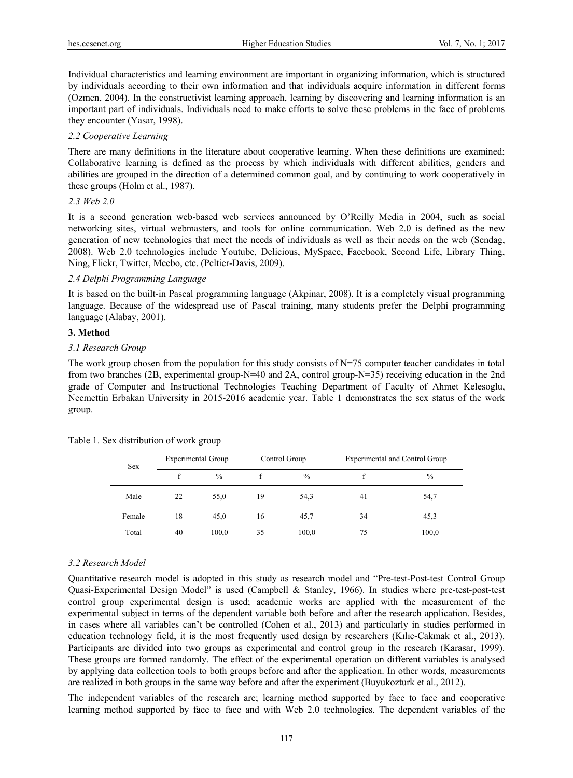Individual characteristics and learning environment are important in organizing information, which is structured by individuals according to their own information and that individuals acquire information in different forms (Ozmen, 2004). In the constructivist learning approach, learning by discovering and learning information is an important part of individuals. Individuals need to make efforts to solve these problems in the face of problems they encounter (Yasar, 1998).

# *2.2 Cooperative Learning*

There are many definitions in the literature about cooperative learning. When these definitions are examined; Collaborative learning is defined as the process by which individuals with different abilities, genders and abilities are grouped in the direction of a determined common goal, and by continuing to work cooperatively in these groups (Holm et al., 1987).

# *2.3 Web 2.0*

It is a second generation web-based web services announced by O'Reilly Media in 2004, such as social networking sites, virtual webmasters, and tools for online communication. Web 2.0 is defined as the new generation of new technologies that meet the needs of individuals as well as their needs on the web (Sendag, 2008). Web 2.0 technologies include Youtube, Delicious, MySpace, Facebook, Second Life, Library Thing, Ning, Flickr, Twitter, Meebo, etc. (Peltier-Davis, 2009).

# *2.4 Delphi Programming Language*

It is based on the built-in Pascal programming language (Akpinar, 2008). It is a completely visual programming language. Because of the widespread use of Pascal training, many students prefer the Delphi programming language (Alabay, 2001).

## **3. Method**

## *3.1 Research Group*

The work group chosen from the population for this study consists of N=75 computer teacher candidates in total from two branches (2B, experimental group-N=40 and 2A, control group-N=35) receiving education in the 2nd grade of Computer and Instructional Technologies Teaching Department of Faculty of Ahmet Kelesoglu, Necmettin Erbakan University in 2015-2016 academic year. Table 1 demonstrates the sex status of the work group.

| <b>Sex</b> |    | Experimental Group |    | Control Group | Experimental and Control Group |       |  |
|------------|----|--------------------|----|---------------|--------------------------------|-------|--|
|            |    | $\frac{0}{0}$      |    | $\%$          |                                | $\%$  |  |
| Male       | 22 | 55,0               | 19 | 54,3          | 41                             | 54,7  |  |
| Female     | 18 | 45,0               | 16 | 45,7          | 34                             | 45,3  |  |
| Total      | 40 | 100,0              | 35 | 100,0         | 75                             | 100,0 |  |

Table 1. Sex distribution of work group

# *3.2 Research Model*

Quantitative research model is adopted in this study as research model and "Pre-test-Post-test Control Group Quasi-Experimental Design Model" is used (Campbell & Stanley, 1966). In studies where pre-test-post-test control group experimental design is used; academic works are applied with the measurement of the experimental subject in terms of the dependent variable both before and after the research application. Besides, in cases where all variables can't be controlled (Cohen et al., 2013) and particularly in studies performed in education technology field, it is the most frequently used design by researchers (Kılıc-Cakmak et al., 2013). Participants are divided into two groups as experimental and control group in the research (Karasar, 1999). These groups are formed randomly. The effect of the experimental operation on different variables is analysed by applying data collection tools to both groups before and after the application. In other words, measurements are realized in both groups in the same way before and after the experiment (Buyukozturk et al., 2012).

The independent variables of the research are; learning method supported by face to face and cooperative learning method supported by face to face and with Web 2.0 technologies. The dependent variables of the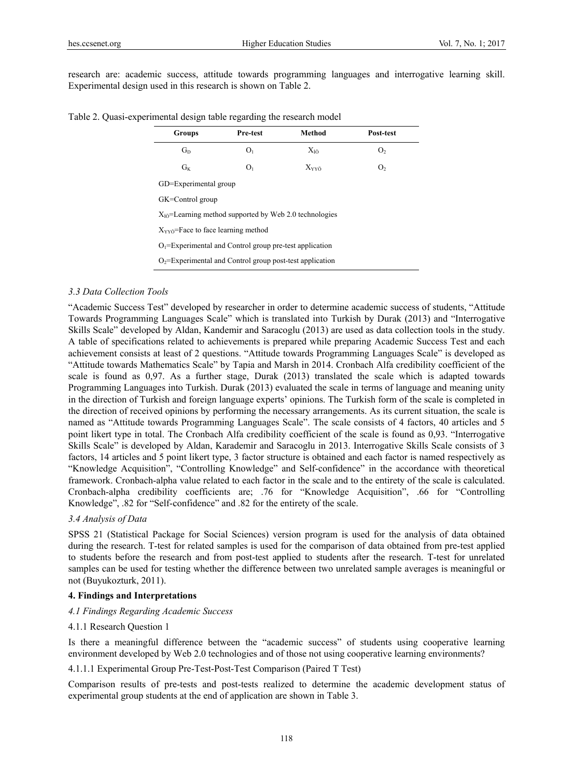research are: academic success, attitude towards programming languages and interrogative learning skill. Experimental design used in this research is shown on Table 2.

|  | Table 2. Quasi-experimental design table regarding the research model |  |  |  |
|--|-----------------------------------------------------------------------|--|--|--|
|  |                                                                       |  |  |  |

| <b>Groups</b>                                                      | <b>Pre-test</b> | <b>Method</b> | Post-test      |  |  |  |  |
|--------------------------------------------------------------------|-----------------|---------------|----------------|--|--|--|--|
| $G_D$                                                              | O <sub>1</sub>  | $X_{\rm 10}$  | O <sub>2</sub> |  |  |  |  |
| $G_{K}$                                                            | О,              | Xvvö          | O <sub>2</sub> |  |  |  |  |
| GD=Experimental group                                              |                 |               |                |  |  |  |  |
| GK=Control group                                                   |                 |               |                |  |  |  |  |
| $X_{i\ddot{o}}$ =Learning method supported by Web 2.0 technologies |                 |               |                |  |  |  |  |
| $X_{YYO}$ =Face to face learning method                            |                 |               |                |  |  |  |  |
| $O_1$ =Experimental and Control group pre-test application         |                 |               |                |  |  |  |  |
| $O_2$ =Experimental and Control group post-test application        |                 |               |                |  |  |  |  |

# *3.3 Data Collection Tools*

"Academic Success Test" developed by researcher in order to determine academic success of students, "Attitude Towards Programming Languages Scale" which is translated into Turkish by Durak (2013) and "Interrogative Skills Scale" developed by Aldan, Kandemir and Saracoglu (2013) are used as data collection tools in the study. A table of specifications related to achievements is prepared while preparing Academic Success Test and each achievement consists at least of 2 questions. "Attitude towards Programming Languages Scale" is developed as "Attitude towards Mathematics Scale" by Tapia and Marsh in 2014. Cronbach Alfa credibility coefficient of the scale is found as 0,97. As a further stage, Durak (2013) translated the scale which is adapted towards Programming Languages into Turkish. Durak (2013) evaluated the scale in terms of language and meaning unity in the direction of Turkish and foreign language experts' opinions. The Turkish form of the scale is completed in the direction of received opinions by performing the necessary arrangements. As its current situation, the scale is named as "Attitude towards Programming Languages Scale". The scale consists of 4 factors, 40 articles and 5 point likert type in total. The Cronbach Alfa credibility coefficient of the scale is found as 0,93. "Interrogative Skills Scale" is developed by Aldan, Karademir and Saracoglu in 2013. Interrogative Skills Scale consists of 3 factors, 14 articles and 5 point likert type, 3 factor structure is obtained and each factor is named respectively as "Knowledge Acquisition", "Controlling Knowledge" and Self-confidence" in the accordance with theoretical framework. Cronbach-alpha value related to each factor in the scale and to the entirety of the scale is calculated. Cronbach-alpha credibility coefficients are; .76 for "Knowledge Acquisition", .66 for "Controlling Knowledge", .82 for "Self-confidence" and .82 for the entirety of the scale.

## *3.4 Analysis of Data*

SPSS 21 (Statistical Package for Social Sciences) version program is used for the analysis of data obtained during the research. T-test for related samples is used for the comparison of data obtained from pre-test applied to students before the research and from post-test applied to students after the research. T-test for unrelated samples can be used for testing whether the difference between two unrelated sample averages is meaningful or not (Buyukozturk, 2011).

#### **4. Findings and Interpretations**

#### *4.1 Findings Regarding Academic Success*

#### 4.1.1 Research Question 1

Is there a meaningful difference between the "academic success" of students using cooperative learning environment developed by Web 2.0 technologies and of those not using cooperative learning environments?

4.1.1.1 Experimental Group Pre-Test-Post-Test Comparison (Paired T Test)

Comparison results of pre-tests and post-tests realized to determine the academic development status of experimental group students at the end of application are shown in Table 3.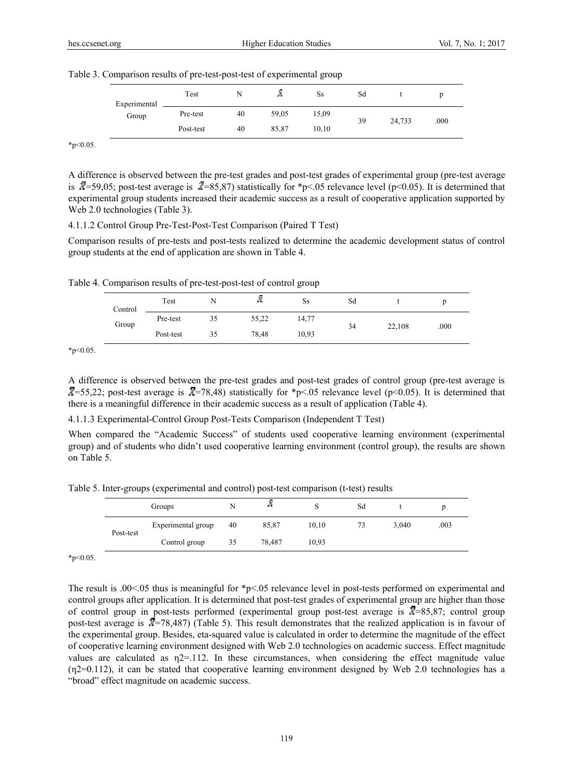| Experimental | Test      | N  | <b>COL</b><br>x | <b>Ss</b> | Sd |        |      |
|--------------|-----------|----|-----------------|-----------|----|--------|------|
| Group        | Pre-test  | 40 | 59,05           | 15,09     | 39 | 24,733 | .000 |
|              | Post-test | 40 | 85,87           | 10,10     |    |        |      |

## Table 3. Comparison results of pre-test-post-test of experimental group

 $*_{p<0.05}$ 

A difference is observed between the pre-test grades and post-test grades of experimental group (pre-test average is  $\bar{x}$ =59,05; post-test average is  $\bar{x}$ =85,87) statistically for \*p<.05 relevance level (p<0.05). It is determined that experimental group students increased their academic success as a result of cooperative application supported by Web 2.0 technologies (Table 3).

4.1.1.2 Control Group Pre-Test-Post-Test Comparison (Paired T Test)

Comparison results of pre-tests and post-tests realized to determine the academic development status of control group students at the end of application are shown in Table 4.

Table 4. Comparison results of pre-test-post-test of control group

| Control | Test      |    | X     | <b>Ss</b> | Sd |        |      |
|---------|-----------|----|-------|-----------|----|--------|------|
| Group   | Pre-test  | 35 | 55,22 | 14,77     |    |        |      |
|         | Post-test | 35 | 78,48 | 10,93     | 34 | 22,108 | .000 |

 $*_{p<0.05}$ .

A difference is observed between the pre-test grades and post-test grades of control group (pre-test average is  $\bar{x}$ =55,22; post-test average is  $\bar{x}$ =78,48) statistically for \*p<.05 relevance level (p<0.05). It is determined that there is a meaningful difference in their academic success as a result of application (Table 4).

4.1.1.3 Experimental-Control Group Post-Tests Comparison (Independent T Test)

When compared the "Academic Success" of students used cooperative learning environment (experimental group) and of students who didn't used cooperative learning environment (control group), the results are shown on Table 5.

Table 5. Inter-groups (experimental and control) post-test comparison (t-test) results

|           | .                  |    | . .    | . .   |    |       |      |  |
|-----------|--------------------|----|--------|-------|----|-------|------|--|
|           | Groups             | N  | 479    | ω     | Sd |       |      |  |
| Post-test | Experimental group | 40 | 85,87  | 10,10 | 73 | 3,040 | .003 |  |
|           | Control group      | 35 | 78,487 | 10.93 |    |       |      |  |
|           |                    |    |        |       |    |       |      |  |

 $*p<0.05$ .

The result is .00<.05 thus is meaningful for \*p<.05 relevance level in post-tests performed on experimental and control groups after application. It is determined that post-test grades of experimental group are higher than those of control group in post-tests performed (experimental group post-test average is  $\overline{X}$ =85,87; control group post-test average is  $\bar{x}$ =78,487) (Table 5). This result demonstrates that the realized application is in favour of the experimental group. Besides, eta-squared value is calculated in order to determine the magnitude of the effect of cooperative learning environment designed with Web 2.0 technologies on academic success. Effect magnitude values are calculated as  $\eta$ 2=.112. In these circumstances, when considering the effect magnitude value  $(\eta$ 2=0.112), it can be stated that cooperative learning environment designed by Web 2.0 technologies has a "broad" effect magnitude on academic success.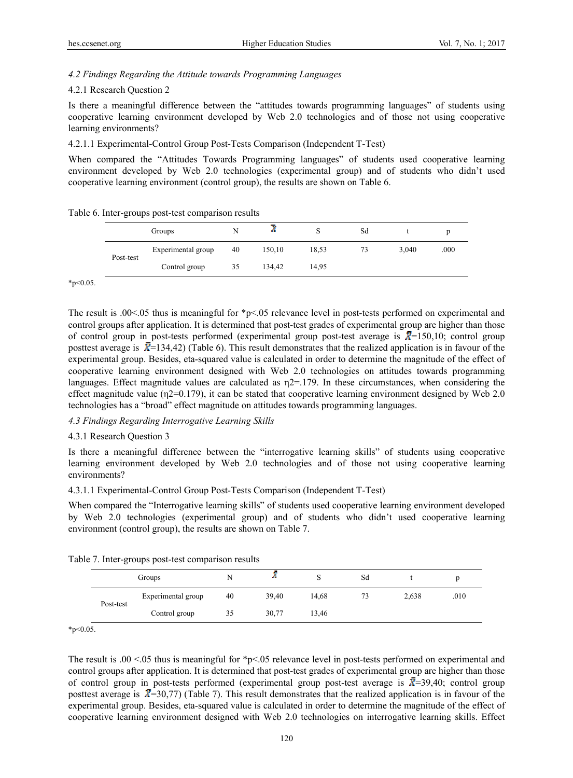## *4.2 Findings Regarding the Attitude towards Programming Languages*

#### 4.2.1 Research Question 2

Is there a meaningful difference between the "attitudes towards programming languages" of students using cooperative learning environment developed by Web 2.0 technologies and of those not using cooperative learning environments?

```
4.2.1.1 Experimental-Control Group Post-Tests Comparison (Independent T-Test)
```
When compared the "Attitudes Towards Programming languages" of students used cooperative learning environment developed by Web 2.0 technologies (experimental group) and of students who didn't used cooperative learning environment (control group), the results are shown on Table 6.

| Table 6. Inter-groups post-test comparison results |  |  |
|----------------------------------------------------|--|--|
|                                                    |  |  |

|           | Groups             | N  | X      |       | Sd |       |      |
|-----------|--------------------|----|--------|-------|----|-------|------|
| Post-test | Experimental group | 40 | 150,10 | 18,53 | 73 | 3,040 | .000 |
|           | Control group      | 35 | 134.42 | 14,95 |    |       |      |

 $*p<0.05$ .

The result is .00<.05 thus is meaningful for \*p<.05 relevance level in post-tests performed on experimental and control groups after application. It is determined that post-test grades of experimental group are higher than those of control group in post-tests performed (experimental group post-test average is  $\overline{X}$ =150,10; control group posttest average is  $\overline{R}$ =134,42) (Table 6). This result demonstrates that the realized application is in favour of the experimental group. Besides, eta-squared value is calculated in order to determine the magnitude of the effect of cooperative learning environment designed with Web 2.0 technologies on attitudes towards programming languages. Effect magnitude values are calculated as  $\eta = 179$ . In these circumstances, when considering the effect magnitude value (η2=0.179), it can be stated that cooperative learning environment designed by Web 2.0 technologies has a "broad" effect magnitude on attitudes towards programming languages.

# *4.3 Findings Regarding Interrogative Learning Skills*

#### 4.3.1 Research Question 3

Is there a meaningful difference between the "interrogative learning skills" of students using cooperative learning environment developed by Web 2.0 technologies and of those not using cooperative learning environments?

## 4.3.1.1 Experimental-Control Group Post-Tests Comparison (Independent T-Test)

When compared the "Interrogative learning skills" of students used cooperative learning environment developed by Web 2.0 technologies (experimental group) and of students who didn't used cooperative learning environment (control group), the results are shown on Table 7.

|           | Groups             |    | - 33  |       | Sd |       |      |
|-----------|--------------------|----|-------|-------|----|-------|------|
| Post-test | Experimental group | 40 | 39,40 | 14,68 |    | 2,638 | .010 |
|           | Control group      | 35 | 30,77 | 13,46 |    |       |      |

Table 7. Inter-groups post-test comparison results

 $*_{p<0.05}$ .

The result is .00 <.05 thus is meaningful for  $\gamma$  p $\leq$ .05 relevance level in post-tests performed on experimental and control groups after application. It is determined that post-test grades of experimental group are higher than those of control group in post-tests performed (experimental group post-test average is  $\overline{X}$ =39,40; control group posttest average is  $\bar{x}$ =30,77) (Table 7). This result demonstrates that the realized application is in favour of the experimental group. Besides, eta-squared value is calculated in order to determine the magnitude of the effect of cooperative learning environment designed with Web 2.0 technologies on interrogative learning skills. Effect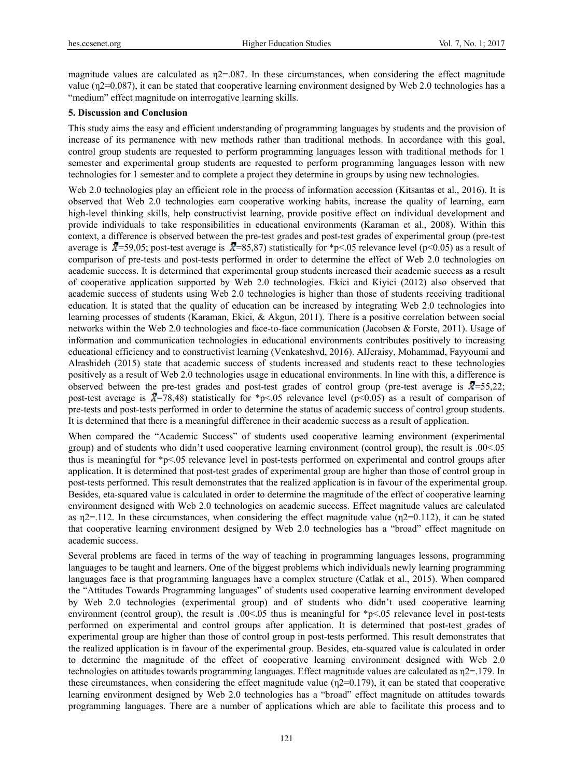magnitude values are calculated as  $\eta$ 2=.087. In these circumstances, when considering the effect magnitude value (η2=0.087), it can be stated that cooperative learning environment designed by Web 2.0 technologies has a "medium" effect magnitude on interrogative learning skills.

## **5. Discussion and Conclusion**

This study aims the easy and efficient understanding of programming languages by students and the provision of increase of its permanence with new methods rather than traditional methods. In accordance with this goal, control group students are requested to perform programming languages lesson with traditional methods for 1 semester and experimental group students are requested to perform programming languages lesson with new technologies for 1 semester and to complete a project they determine in groups by using new technologies.

Web 2.0 technologies play an efficient role in the process of information accession (Kitsantas et al., 2016). It is observed that Web 2.0 technologies earn cooperative working habits, increase the quality of learning, earn high-level thinking skills, help constructivist learning, provide positive effect on individual development and provide individuals to take responsibilities in educational environments (Karaman et al., 2008). Within this context, a difference is observed between the pre-test grades and post-test grades of experimental group (pre-test average is  $\bar{x}$ =59,05; post-test average is  $\bar{x}$ =85,87) statistically for \*p<.05 relevance level (p<0.05) as a result of comparison of pre-tests and post-tests performed in order to determine the effect of Web 2.0 technologies on academic success. It is determined that experimental group students increased their academic success as a result of cooperative application supported by Web 2.0 technologies. Ekici and Kiyici (2012) also observed that academic success of students using Web 2.0 technologies is higher than those of students receiving traditional education. It is stated that the quality of education can be increased by integrating Web 2.0 technologies into learning processes of students (Karaman, Ekici, & Akgun, 2011). There is a positive correlation between social networks within the Web 2.0 technologies and face-to-face communication (Jacobsen & Forste, 2011). Usage of information and communication technologies in educational environments contributes positively to increasing educational efficiency and to constructivist learning (Venkateshvd, 2016). AlJeraisy, Mohammad, Fayyoumi and Alrashideh (2015) state that academic success of students increased and students react to these technologies positively as a result of Web 2.0 technologies usage in educational environments. In line with this, a difference is observed between the pre-test grades and post-test grades of control group (pre-test average is  $\bar{x}$ =55,22; post-test average is  $\bar{X}$ =78,48) statistically for \*p<.05 relevance level (p<0.05) as a result of comparison of pre-tests and post-tests performed in order to determine the status of academic success of control group students. It is determined that there is a meaningful difference in their academic success as a result of application.

When compared the "Academic Success" of students used cooperative learning environment (experimental group) and of students who didn't used cooperative learning environment (control group), the result is .00<.05 thus is meaningful for \*p<.05 relevance level in post-tests performed on experimental and control groups after application. It is determined that post-test grades of experimental group are higher than those of control group in post-tests performed. This result demonstrates that the realized application is in favour of the experimental group. Besides, eta-squared value is calculated in order to determine the magnitude of the effect of cooperative learning environment designed with Web 2.0 technologies on academic success. Effect magnitude values are calculated as  $\eta$ 2=.112. In these circumstances, when considering the effect magnitude value ( $\eta$ 2=0.112), it can be stated that cooperative learning environment designed by Web 2.0 technologies has a "broad" effect magnitude on academic success.

Several problems are faced in terms of the way of teaching in programming languages lessons, programming languages to be taught and learners. One of the biggest problems which individuals newly learning programming languages face is that programming languages have a complex structure (Catlak et al., 2015). When compared the "Attitudes Towards Programming languages" of students used cooperative learning environment developed by Web 2.0 technologies (experimental group) and of students who didn't used cooperative learning environment (control group), the result is .00<.05 thus is meaningful for  $\gamma$ -05 relevance level in post-tests performed on experimental and control groups after application. It is determined that post-test grades of experimental group are higher than those of control group in post-tests performed. This result demonstrates that the realized application is in favour of the experimental group. Besides, eta-squared value is calculated in order to determine the magnitude of the effect of cooperative learning environment designed with Web 2.0 technologies on attitudes towards programming languages. Effect magnitude values are calculated as η2=.179. In these circumstances, when considering the effect magnitude value  $(\eta$ 2=0.179), it can be stated that cooperative learning environment designed by Web 2.0 technologies has a "broad" effect magnitude on attitudes towards programming languages. There are a number of applications which are able to facilitate this process and to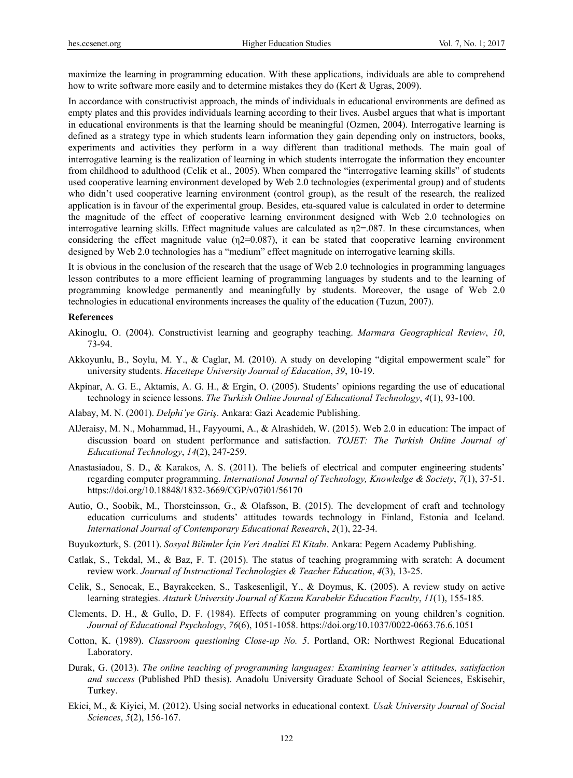maximize the learning in programming education. With these applications, individuals are able to comprehend how to write software more easily and to determine mistakes they do (Kert & Ugras, 2009).

In accordance with constructivist approach, the minds of individuals in educational environments are defined as empty plates and this provides individuals learning according to their lives. Ausbel argues that what is important in educational environments is that the learning should be meaningful (Ozmen, 2004). Interrogative learning is defined as a strategy type in which students learn information they gain depending only on instructors, books, experiments and activities they perform in a way different than traditional methods. The main goal of interrogative learning is the realization of learning in which students interrogate the information they encounter from childhood to adulthood (Celik et al., 2005). When compared the "interrogative learning skills" of students used cooperative learning environment developed by Web 2.0 technologies (experimental group) and of students who didn't used cooperative learning environment (control group), as the result of the research, the realized application is in favour of the experimental group. Besides, eta-squared value is calculated in order to determine the magnitude of the effect of cooperative learning environment designed with Web 2.0 technologies on interrogative learning skills. Effect magnitude values are calculated as  $\eta$ 2=.087. In these circumstances, when considering the effect magnitude value ( $\eta$ 2=0.087), it can be stated that cooperative learning environment designed by Web 2.0 technologies has a "medium" effect magnitude on interrogative learning skills.

It is obvious in the conclusion of the research that the usage of Web 2.0 technologies in programming languages lesson contributes to a more efficient learning of programming languages by students and to the learning of programming knowledge permanently and meaningfully by students. Moreover, the usage of Web 2.0 technologies in educational environments increases the quality of the education (Tuzun, 2007).

#### **References**

- Akinoglu, O. (2004). Constructivist learning and geography teaching. *Marmara Geographical Review*, *10*, 73-94.
- Akkoyunlu, B., Soylu, M. Y., & Caglar, M. (2010). A study on developing "digital empowerment scale" for university students. *Hacettepe University Journal of Education*, *39*, 10-19.
- Akpinar, A. G. E., Aktamis, A. G. H., & Ergin, O. (2005). Students' opinions regarding the use of educational technology in science lessons. *The Turkish Online Journal of Educational Technology*, *4*(1), 93-100.
- Alabay, M. N. (2001). *Delphi'ye Giriş*. Ankara: Gazi Academic Publishing.
- AlJeraisy, M. N., Mohammad, H., Fayyoumi, A., & Alrashideh, W. (2015). Web 2.0 in education: The impact of discussion board on student performance and satisfaction. *TOJET: The Turkish Online Journal of Educational Technology*, *14*(2), 247-259.
- Anastasiadou, S. D., & Karakos, A. S. (2011). The beliefs of electrical and computer engineering students' regarding computer programming. *International Journal of Technology, Knowledge & Society*, *7*(1), 37-51. https://doi.org/10.18848/1832-3669/CGP/v07i01/56170
- Autio, O., Soobik, M., Thorsteinsson, G., & Olafsson, B. (2015). The development of craft and technology education curriculums and students' attitudes towards technology in Finland, Estonia and Iceland. *International Journal of Contemporary Educational Research*, *2*(1), 22-34.
- Buyukozturk, S. (2011). *Sosyal Bilimler İçin Veri Analizi El Kitabı*. Ankara: Pegem Academy Publishing.
- Catlak, S., Tekdal, M., & Baz, F. T. (2015). The status of teaching programming with scratch: A document review work. *Journal of Instructional Technologies & Teacher Education*, *4*(3), 13-25.
- Celik, S., Senocak, E., Bayrakceken, S., Taskesenligil, Y., & Doymus, K. (2005). A review study on active learning strategies. *Ataturk University Journal of Kazım Karabekir Education Faculty*, *11*(1), 155-185.
- Clements, D. H., & Gullo, D. F. (1984). Effects of computer programming on young children's cognition. *Journal of Educational Psychology*, *76*(6), 1051-1058. https://doi.org/10.1037/0022-0663.76.6.1051
- Cotton, K. (1989). *Classroom questioning Close-up No. 5*. Portland, OR: Northwest Regional Educational Laboratory.
- Durak, G. (2013). *The online teaching of programming languages: Examining learner's attitudes, satisfaction and success* (Published PhD thesis). Anadolu University Graduate School of Social Sciences, Eskisehir, Turkey.
- Ekici, M., & Kiyici, M. (2012). Using social networks in educational context. *Usak University Journal of Social Sciences*, *5*(2), 156-167.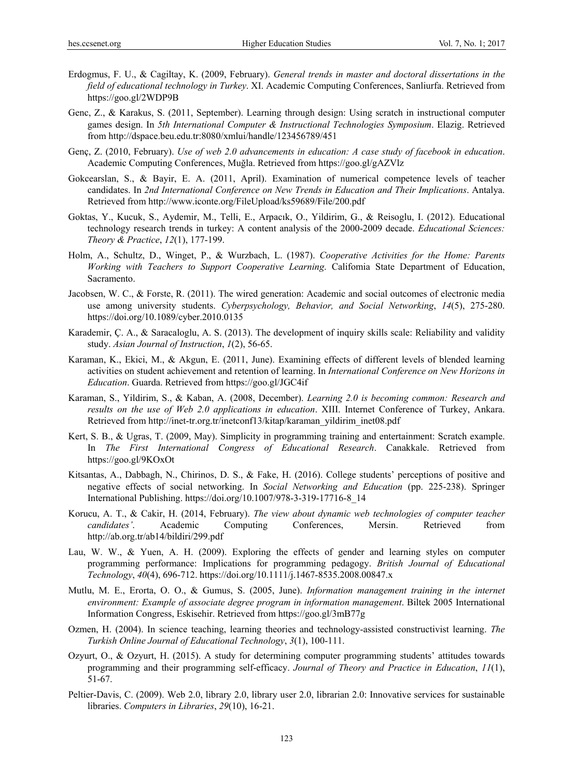- Erdogmus, F. U., & Cagiltay, K. (2009, February). *General trends in master and doctoral dissertations in the field of educational technology in Turkey*. XI. Academic Computing Conferences, Sanliurfa. Retrieved from https://goo.gl/2WDP9B
- Genc, Z., & Karakus, S. (2011, September). Learning through design: Using scratch in instructional computer games design. In *5th International Computer & Instructional Technologies Symposium*. Elazig. Retrieved from http://dspace.beu.edu.tr:8080/xmlui/handle/123456789/451
- Genç, Z. (2010, February). *Use of web 2.0 advancements in education: A case study of facebook in education*. Academic Computing Conferences, Muğla. Retrieved from https://goo.gl/gAZVlz
- Gokcearslan, S., & Bayir, E. A. (2011, April). Examination of numerical competence levels of teacher candidates. In *2nd International Conference on New Trends in Education and Their Implications*. Antalya. Retrieved from http://www.iconte.org/FileUpload/ks59689/File/200.pdf
- Goktas, Y., Kucuk, S., Aydemir, M., Telli, E., Arpacık, O., Yildirim, G., & Reisoglu, I. (2012). Educational technology research trends in turkey: A content analysis of the 2000-2009 decade. *Educational Sciences: Theory & Practice*, *12*(1), 177-199.
- Holm, A., Schultz, D., Winget, P., & Wurzbach, L. (1987). *Cooperative Activities for the Home: Parents Working with Teachers to Support Cooperative Learning*. Califomia State Department of Education, Sacramento.
- Jacobsen, W. C., & Forste, R. (2011). The wired generation: Academic and social outcomes of electronic media use among university students. *Cyberpsychology, Behavior, and Social Networking*, *14*(5), 275-280. https://doi.org/10.1089/cyber.2010.0135
- Karademir, Ç. A., & Saracaloglu, A. S. (2013). The development of inquiry skills scale: Reliability and validity study. *Asian Journal of Instruction*, *1*(2), 56-65.
- Karaman, K., Ekici, M., & Akgun, E. (2011, June). Examining effects of different levels of blended learning activities on student achievement and retention of learning. In *International Conference on New Horizons in Education*. Guarda. Retrieved from https://goo.gl/JGC4if
- Karaman, S., Yildirim, S., & Kaban, A. (2008, December). *Learning 2.0 is becoming common: Research and results on the use of Web 2.0 applications in education*. XIII. Internet Conference of Turkey, Ankara. Retrieved from http://inet-tr.org.tr/inetconf13/kitap/karaman\_yildirim\_inet08.pdf
- Kert, S. B., & Ugras, T. (2009, May). Simplicity in programming training and entertainment: Scratch example. In *The First International Congress of Educational Research*. Canakkale. Retrieved from https://goo.gl/9KOxOt
- Kitsantas, A., Dabbagh, N., Chirinos, D. S., & Fake, H. (2016). College students' perceptions of positive and negative effects of social networking. In *Social Networking and Education* (pp. 225-238). Springer International Publishing. https://doi.org/10.1007/978-3-319-17716-8\_14
- Korucu, A. T., & Cakir, H. (2014, February). *The view about dynamic web technologies of computer teacher candidates'*. Academic Computing Conferences, Mersin. Retrieved from http://ab.org.tr/ab14/bildiri/299.pdf
- Lau, W. W., & Yuen, A. H. (2009). Exploring the effects of gender and learning styles on computer programming performance: Implications for programming pedagogy. *British Journal of Educational Technology*, *40*(4), 696-712. https://doi.org/10.1111/j.1467-8535.2008.00847.x
- Mutlu, M. E., Erorta, O. O., & Gumus, S. (2005, June). *Information management training in the internet environment: Example of associate degree program in information management*. Biltek 2005 International Information Congress, Eskisehir. Retrieved from https://goo.gl/3mB77g
- Ozmen, H. (2004). In science teaching, learning theories and technology-assisted constructivist learning. *The Turkish Online Journal of Educational Technology*, *3*(1), 100-111.
- Ozyurt, O., & Ozyurt, H. (2015). A study for determining computer programming students' attitudes towards programming and their programming self-efficacy. *Journal of Theory and Practice in Education*, *11*(1), 51-67.
- Peltier-Davis, C. (2009). Web 2.0, library 2.0, library user 2.0, librarian 2.0: Innovative services for sustainable libraries. *Computers in Libraries*, *29*(10), 16-21.